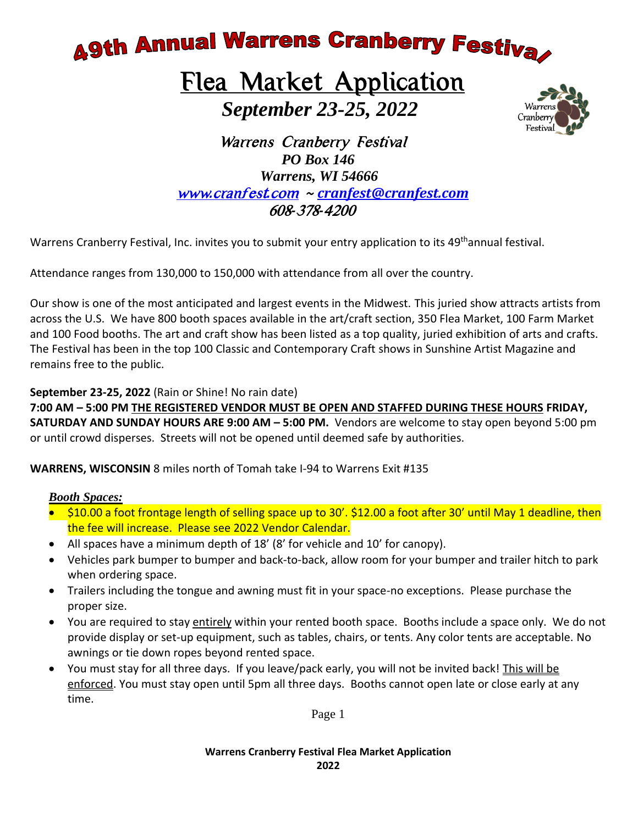**A9th Annual Warrens Cranberry Festival** 

### Flea Market Application  *September 23-25, 2022*



 Warrens Cranberry Festival  *PO Box 146 Warrens, WI 54666* www*.*[cranfest](http://www.cranfest.com/)*.*com *~ [cranfest@cranfest.com](mailto:cranfest@cranfest.com)* 608*-*378*-*4200

Warrens Cranberry Festival, Inc. invites you to submit your entry application to its 49<sup>th</sup>annual festival.

Attendance ranges from 130,000 to 150,000 with attendance from all over the country.

Our show is one of the most anticipated and largest events in the Midwest. This juried show attracts artists from across the U.S. We have 800 booth spaces available in the art/craft section, 350 Flea Market, 100 Farm Market and 100 Food booths. The art and craft show has been listed as a top quality, juried exhibition of arts and crafts. The Festival has been in the top 100 Classic and Contemporary Craft shows in Sunshine Artist Magazine and remains free to the public.

**September 23-25, 2022** (Rain or Shine! No rain date)

**7:00 AM – 5:00 PM THE REGISTERED VENDOR MUST BE OPEN AND STAFFED DURING THESE HOURS FRIDAY, SATURDAY AND SUNDAY HOURS ARE 9:00 AM – 5:00 PM.** Vendors are welcome to stay open beyond 5:00 pm or until crowd disperses. Streets will not be opened until deemed safe by authorities.

**WARRENS, WISCONSIN** 8 miles north of Tomah take I-94 to Warrens Exit #135

#### *Booth Spaces:*

- \$10.00 a foot frontage length of selling space up to 30'. \$12.00 a foot after 30' until May 1 deadline, then the fee will increase. Please see 2022 Vendor Calendar.
- All spaces have a minimum depth of 18' (8' for vehicle and 10' for canopy).
- Vehicles park bumper to bumper and back-to-back, allow room for your bumper and trailer hitch to park when ordering space.
- Trailers including the tongue and awning must fit in your space-no exceptions. Please purchase the proper size.
- You are required to stay entirely within your rented booth space. Booths include a space only. We do not provide display or set-up equipment, such as tables, chairs, or tents. Any color tents are acceptable. No awnings or tie down ropes beyond rented space.
- You must stay for all three days. If you leave/pack early, you will not be invited back! This will be enforced. You must stay open until 5pm all three days. Booths cannot open late or close early at any time.

Page 1

**Warrens Cranberry Festival Flea Market Application 2022**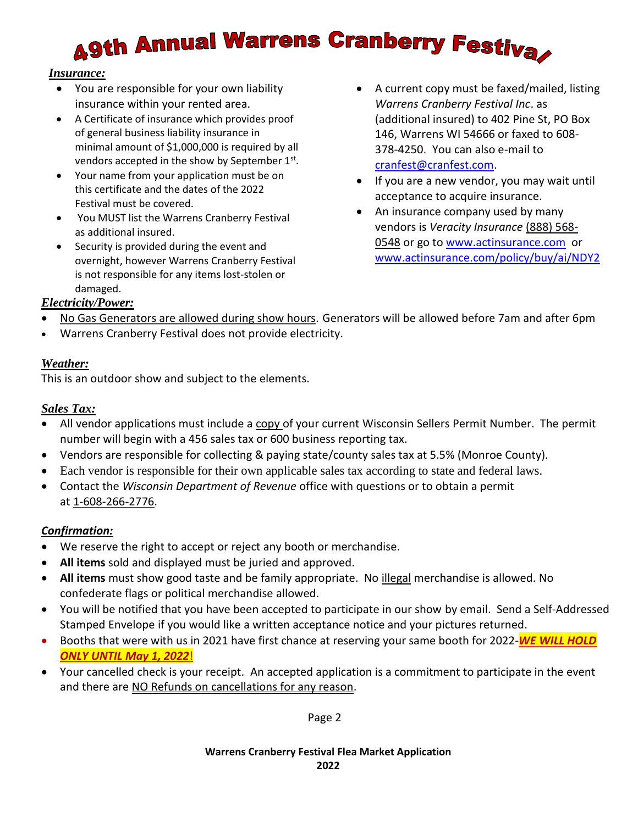# **A9th Annual Warrens Cranberry Festiva**

#### *Insurance:*

- You are responsible for your own liability insurance within your rented area.
- A Certificate of insurance which provides proof of general business liability insurance in minimal amount of \$1,000,000 is required by all vendors accepted in the show by September  $1<sup>st</sup>$ .
- Your name from your application must be on this certificate and the dates of the 2022 Festival must be covered.
- You MUST list the Warrens Cranberry Festival as additional insured.
- Security is provided during the event and overnight, however Warrens Cranberry Festival is not responsible for any items lost-stolen or damaged.
- A current copy must be faxed/mailed, listing *Warrens Cranberry Festival Inc*. as (additional insured) to 402 Pine St, PO Box 146, Warrens WI 54666 or faxed to 608- 378-4250. You can also e-mail to [cranfest@cranfest.com.](mailto:cranfest@cranfest.com)
- If you are a new vendor, you may wait until acceptance to acquire insurance.
- An insurance company used by many vendors is *Veracity Insurance* (888) 568- 0548 or go to [www.actinsurance.com](http://www.actinsurance.com/) or [www.actinsurance.com/policy/buy/ai/NDY2](http://www.actinsurance.com/policy/buy/ai/NDY2)

#### *Electricity/Power:*

- No Gas Generators are allowed during show hours. Generators will be allowed before 7am and after 6pm
- Warrens Cranberry Festival does not provide electricity.

#### *Weather:*

This is an outdoor show and subject to the elements.

#### *Sales Tax:*

- All vendor applications must include a copy of your current Wisconsin Sellers Permit Number. The permit number will begin with a 456 sales tax or 600 business reporting tax.
- Vendors are responsible for collecting & paying state/county sales tax at 5.5% (Monroe County).
- Each vendor is responsible for their own applicable sales tax according to state and federal laws.
- Contact the *Wisconsin Department of Revenue* office with questions or to obtain a permit at 1-608-266-2776.

#### *Confirmation:*

- We reserve the right to accept or reject any booth or merchandise.
- **All items** sold and displayed must be juried and approved.
- **All items** must show good taste and be family appropriate. No illegal merchandise is allowed. No confederate flags or political merchandise allowed.
- You will be notified that you have been accepted to participate in our show by email. Send a Self-Addressed Stamped Envelope if you would like a written acceptance notice and your pictures returned.
- Booths that were with us in 2021 have first chance at reserving your same booth for 2022-*WE WILL HOLD ONLY UNTIL May 1, 2022*!
- Your cancelled check is your receipt. An accepted application is a commitment to participate in the event and there are NO Refunds on cancellations for any reason.

Page 2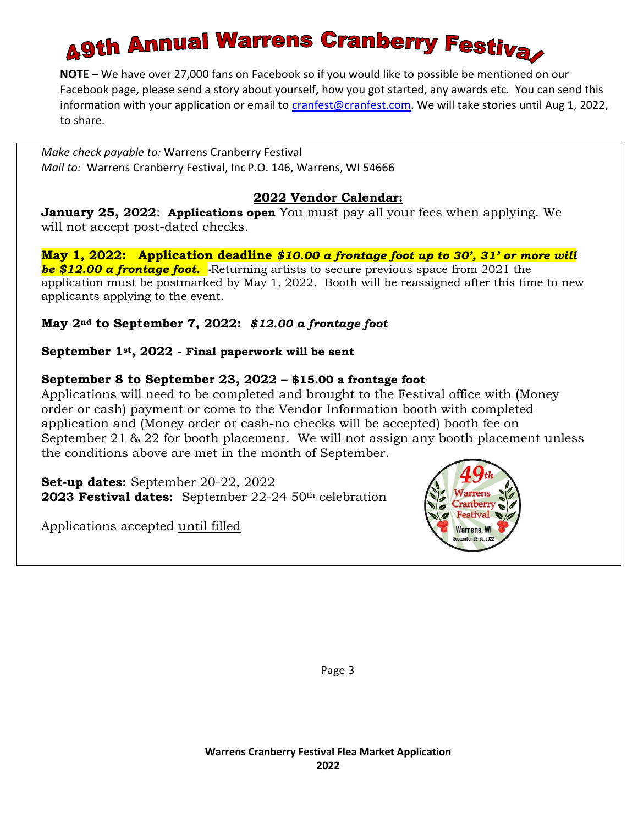## **Agth Annual Warrens Cranberry Festival**

**NOTE** – We have over 27,000 fans on Facebook so if you would like to possible be mentioned on our Facebook page, please send a story about yourself, how you got started, any awards etc. You can send this information with your application or email to [cranfest@cranfest.com.](mailto:cranfest@cranfest.com) We will take stories until Aug 1, 2022, to share.

*Make check payable to:* Warrens Cranberry Festival *Mail to:* Warrens Cranberry Festival, Inc P.O. 146, Warrens, WI 54666

#### **2022 Vendor Calendar:**

**January 25, 2022**: **Applications open** You must pay all your fees when applying. We will not accept post-dated checks.

**May 1, 2022: Application deadline** *\$10.00 a frontage foot up to 30', 31' or more will be \$12.00 a frontage foot. -*Returning artists to secure previous space from 2021 the application must be postmarked by May 1, 2022. Booth will be reassigned after this time to new applicants applying to the event.

#### **May 2nd to September 7, 2022:** *\$12.00 a frontage foot*

#### **September 1st, 2022 - Final paperwork will be sent**

#### **September 8 to September 23, 2022 – \$15.00 a frontage foot**

Applications will need to be completed and brought to the Festival office with (Money order or cash) payment or come to the Vendor Information booth with completed application and (Money order or cash-no checks will be accepted) booth fee on September 21 & 22 for booth placement. We will not assign any booth placement unless the conditions above are met in the month of September.

**Set-up dates:** September 20-22, 2022 **2023 Festival dates:** September 22-24 50th celebration

Applications accepted until filled



Page 3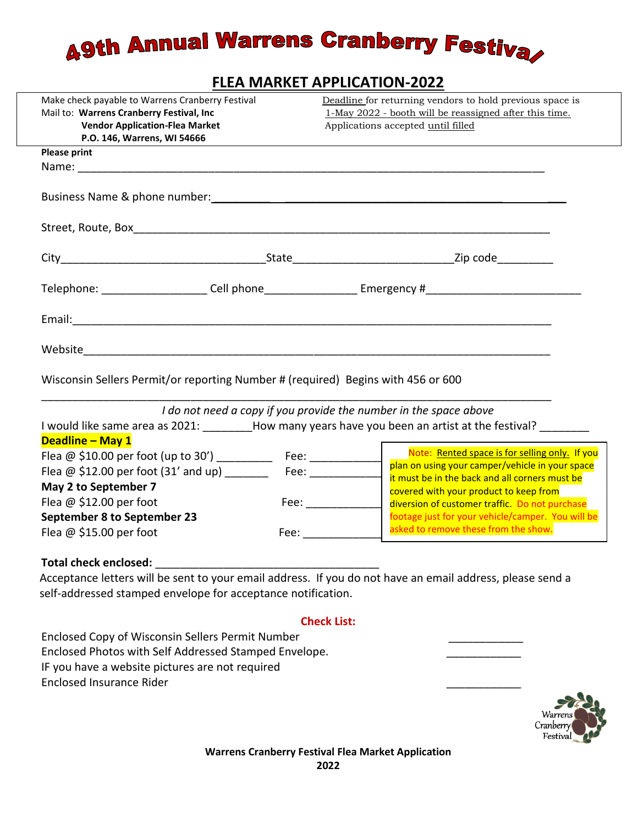## **A9th Annual Warrens Cranberry Festiva**

#### **FLEA MARKET APPLICATION-2022**

| Make check payable to Warrens Cranberry Festival                                                                                                                                                                               | Deadline for returning vendors to hold previous space is |                                                                                                                                                                                                                                                         |  |
|--------------------------------------------------------------------------------------------------------------------------------------------------------------------------------------------------------------------------------|----------------------------------------------------------|---------------------------------------------------------------------------------------------------------------------------------------------------------------------------------------------------------------------------------------------------------|--|
| Mail to: Warrens Cranberry Festival, Inc                                                                                                                                                                                       |                                                          | 1-May 2022 - booth will be reassigned after this time.                                                                                                                                                                                                  |  |
| <b>Vendor Application-Flea Market</b>                                                                                                                                                                                          |                                                          | Applications accepted until filled                                                                                                                                                                                                                      |  |
| P.O. 146, Warrens, WI 54666                                                                                                                                                                                                    |                                                          |                                                                                                                                                                                                                                                         |  |
| <b>Please print</b>                                                                                                                                                                                                            |                                                          |                                                                                                                                                                                                                                                         |  |
|                                                                                                                                                                                                                                |                                                          |                                                                                                                                                                                                                                                         |  |
| Business Name & phone number: Name of the state of the state of the state of the state of the state of the state of the state of the state of the state of the state of the state of the state of the state of the state of th |                                                          |                                                                                                                                                                                                                                                         |  |
|                                                                                                                                                                                                                                |                                                          |                                                                                                                                                                                                                                                         |  |
|                                                                                                                                                                                                                                |                                                          |                                                                                                                                                                                                                                                         |  |
|                                                                                                                                                                                                                                |                                                          | Telephone: ______________________Cell phone_______________________Emergency #_________________________________                                                                                                                                          |  |
|                                                                                                                                                                                                                                |                                                          |                                                                                                                                                                                                                                                         |  |
|                                                                                                                                                                                                                                |                                                          |                                                                                                                                                                                                                                                         |  |
| Wisconsin Sellers Permit/or reporting Number # (required) Begins with 456 or 600                                                                                                                                               |                                                          |                                                                                                                                                                                                                                                         |  |
|                                                                                                                                                                                                                                |                                                          | I do not need a copy if you provide the number in the space above                                                                                                                                                                                       |  |
|                                                                                                                                                                                                                                |                                                          | I would like same area as 2021: How many years have you been an artist at the festival?                                                                                                                                                                 |  |
| Deadline - May 1                                                                                                                                                                                                               |                                                          |                                                                                                                                                                                                                                                         |  |
|                                                                                                                                                                                                                                |                                                          | Deadline – May 1<br>Flea @ \$10.00 per foot (up to 30') _____________ Fee: _______________   Note: <u>Rented space is for selling only.</u> If you<br>plan on using your camper/vehicle in your space<br>Note: Rented space is for selling only. If you |  |
| Flea @ \$12.00 per foot (31' and up) __________ Fee: ____________                                                                                                                                                              |                                                          |                                                                                                                                                                                                                                                         |  |
| May 2 to September 7                                                                                                                                                                                                           |                                                          | it must be in the back and all corners must be                                                                                                                                                                                                          |  |
|                                                                                                                                                                                                                                |                                                          | covered with your product to keep from                                                                                                                                                                                                                  |  |
| Flea $@$ \$12.00 per foot                                                                                                                                                                                                      |                                                          | diversion of customer traffic. Do not purchase                                                                                                                                                                                                          |  |

**September 8 to September 23** Flea  $\omega$  \$15.00 per foot Fee:

#### **Total check enclosed:** \_\_\_\_\_\_\_\_\_\_\_\_\_\_\_\_\_\_\_\_\_\_\_\_\_\_\_\_\_\_\_\_\_\_\_\_

 Acceptance letters will be sent to your email address. If you do not have an email address, please send a self-addressed stamped envelope for acceptance notification.

#### **Check List:**

Enclosed Copy of Wisconsin Sellers Permit Number \_\_\_\_\_\_\_\_\_\_\_\_ Enclosed Photos with Self Addressed Stamped Envelope. IF you have a website pictures are not required Enclosed Insurance Rider \_\_\_\_\_\_\_\_\_\_\_\_



footage just for your vehicle/camper. You will be

asked to remove these from the show.

### **Warrens Cranberry Festival Flea Market Application**

**2022**